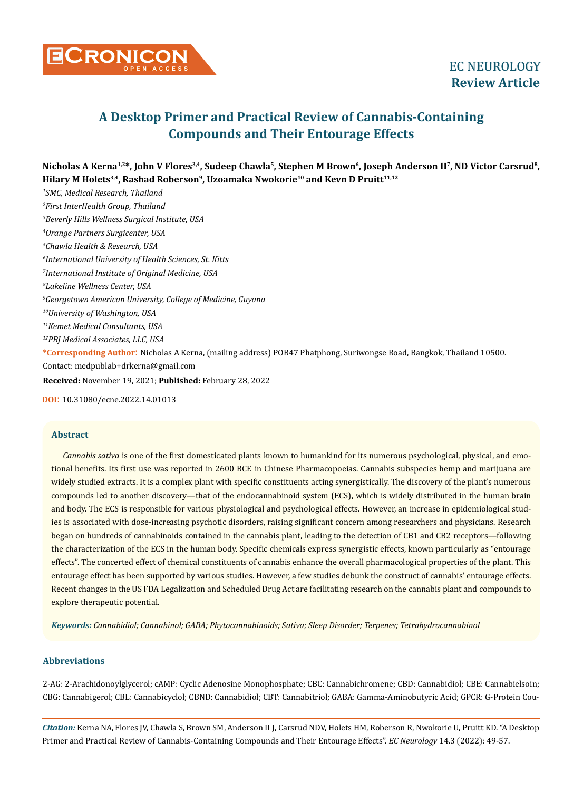

# **A Desktop Primer and Practical Review of Cannabis-Containing Compounds and Their Entourage Effects**

**Nicholas A Kerna1,2\*, John V Flores3,4, Sudeep Chawla5, Stephen M Brown6, Joseph Anderson II7, ND Victor Carsrud8, Hilary M Holets3,4, Rashad Roberson9, Uzoamaka Nwokorie10 and Kevn D Pruitt11,12**

*1 SMC, Medical Research, Thailand 2 First InterHealth Group, Thailand 3 Beverly Hills Wellness Surgical Institute, USA 4 Orange Partners Surgicenter, USA 5 Chawla Health & Research, USA 6 International University of Health Sciences, St. Kitts 7 International Institute of Original Medicine, USA 8 Lakeline Wellness Center, USA 9 Georgetown American University, College of Medicine, Guyana 10University of Washington, USA 11Kemet Medical Consultants, USA 12PBJ Medical Associates, LLC, USA* **\*Corresponding Author**: Nicholas A Kerna, (mailing address) POB47 Phatphong, Suriwongse Road, Bangkok, Thailand 10500. Contact: medpublab+drkerna@gmail.com **Received:** November 19, 2021; **Published:** February 28, 2022

**DOI**: 10.31080/ecne.2022.14.01013

#### **Abstract**

*Cannabis sativa* is one of the first domesticated plants known to humankind for its numerous psychological, physical, and emotional benefits. Its first use was reported in 2600 BCE in Chinese Pharmacopoeias. Cannabis subspecies hemp and marijuana are widely studied extracts. It is a complex plant with specific constituents acting synergistically. The discovery of the plant's numerous compounds led to another discovery—that of the endocannabinoid system (ECS), which is widely distributed in the human brain and body. The ECS is responsible for various physiological and psychological effects. However, an increase in epidemiological studies is associated with dose-increasing psychotic disorders, raising significant concern among researchers and physicians. Research began on hundreds of cannabinoids contained in the cannabis plant, leading to the detection of CB1 and CB2 receptors—following the characterization of the ECS in the human body. Specific chemicals express synergistic effects, known particularly as "entourage effects". The concerted effect of chemical constituents of cannabis enhance the overall pharmacological properties of the plant. This entourage effect has been supported by various studies. However, a few studies debunk the construct of cannabis' entourage effects. Recent changes in the US FDA Legalization and Scheduled Drug Act are facilitating research on the cannabis plant and compounds to explore therapeutic potential.

*Keywords: Cannabidiol; Cannabinol; GABA; Phytocannabinoids; Sativa; Sleep Disorder; Terpenes; Tetrahydrocannabinol*

## **Abbreviations**

2-AG: 2-Arachidonoylglycerol; cAMP: Cyclic Adenosine Monophosphate; CBC: Cannabichromene; CBD: Cannabidiol; CBE: Cannabielsoin; CBG: Cannabigerol; CBL: Cannabicyclol; CBND: Cannabidiol; CBT: Cannabitriol; GABA: Gamma-Aminobutyric Acid; GPCR: G-Protein Cou-

*Citation:* Kerna NA, Flores JV, Chawla S, Brown SM, Anderson II J, Carsrud NDV, Holets HM, Roberson R, Nwokorie U, Pruitt KD. "A Desktop Primer and Practical Review of Cannabis-Containing Compounds and Their Entourage Effects". *EC Neurology* 14.3 (2022): 49-57.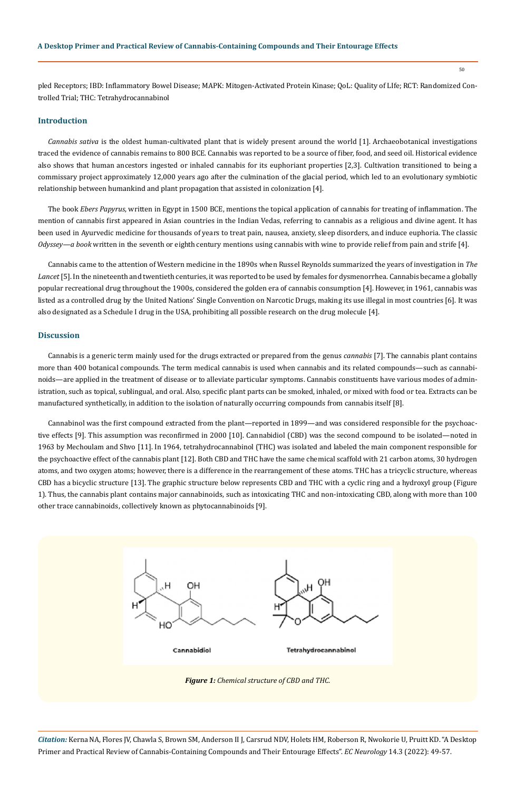50

pled Receptors; IBD: Inflammatory Bowel Disease; MAPK: Mitogen-Activated Protein Kinase; QoL: Quality of LIfe; RCT: Randomized Controlled Trial; THC: Tetrahydrocannabinol

## **Introduction**

*Cannabis sativa* is the oldest human-cultivated plant that is widely present around the world [1]. Archaeobotanical investigations traced the evidence of cannabis remains to 800 BCE. Cannabis was reported to be a source of fiber, food, and seed oil. Historical evidence also shows that human ancestors ingested or inhaled cannabis for its euphoriant properties [2,3]. Cultivation transitioned to being a commissary project approximately 12,000 years ago after the culmination of the glacial period, which led to an evolutionary symbiotic relationship between humankind and plant propagation that assisted in colonization [4].

The book *Ebers Papyrus*, written in Egypt in 1500 BCE, mentions the topical application of cannabis for treating of inflammation. The mention of cannabis first appeared in Asian countries in the Indian Vedas, referring to cannabis as a religious and divine agent. It has been used in Ayurvedic medicine for thousands of years to treat pain, nausea, anxiety, sleep disorders, and induce euphoria. The classic *Odyssey—a book* written in the seventh or eighth century mentions using cannabis with wine to provide relief from pain and strife [4].

Cannabis came to the attention of Western medicine in the 1890s when Russel Reynolds summarized the years of investigation in *The Lancet* [5]. In the nineteenth and twentieth centuries, it was reported to be used by females for dysmenorrhea. Cannabis became a globally popular recreational drug throughout the 1900s, considered the golden era of cannabis consumption [4]. However, in 1961, cannabis was listed as a controlled drug by the United Nations' Single Convention on Narcotic Drugs, making its use illegal in most countries [6]. It was also designated as a Schedule I drug in the USA, prohibiting all possible research on the drug molecule [4].

#### **Discussion**

Cannabis is a generic term mainly used for the drugs extracted or prepared from the genus *cannabis* [7]. The cannabis plant contains more than 400 botanical compounds. The term medical cannabis is used when cannabis and its related compounds—such as cannabinoids—are applied in the treatment of disease or to alleviate particular symptoms. Cannabis constituents have various modes of administration, such as topical, sublingual, and oral. Also, specific plant parts can be smoked, inhaled, or mixed with food or tea. Extracts can be manufactured synthetically, in addition to the isolation of naturally occurring compounds from cannabis itself [8].

Cannabinol was the first compound extracted from the plant—reported in 1899—and was considered responsible for the psychoactive effects [9]. This assumption was reconfirmed in 2000 [10]. Cannabidiol (CBD) was the second compound to be isolated—noted in 1963 by Mechoulam and Shvo [11]. In 1964, tetrahydrocannabinol (THC) was isolated and labeled the main component responsible for the psychoactive effect of the cannabis plant [12]. Both CBD and THC have the same chemical scaffold with 21 carbon atoms, 30 hydrogen atoms, and two oxygen atoms; however, there is a difference in the rearrangement of these atoms. THC has a tricyclic structure, whereas CBD has a bicyclic structure [13]. The graphic structure below represents CBD and THC with a cyclic ring and a hydroxyl group (Figure 1). Thus, the cannabis plant contains major cannabinoids, such as intoxicating THC and non-intoxicating CBD, along with more than 100 other trace cannabinoids, collectively known as phytocannabinoids [9].



*Citation:* Kerna NA, Flores JV, Chawla S, Brown SM, Anderson II J, Carsrud NDV, Holets HM, Roberson R, Nwokorie U, Pruitt KD. "A Desktop Primer and Practical Review of Cannabis-Containing Compounds and Their Entourage Effects". *EC Neurology* 14.3 (2022): 49-57.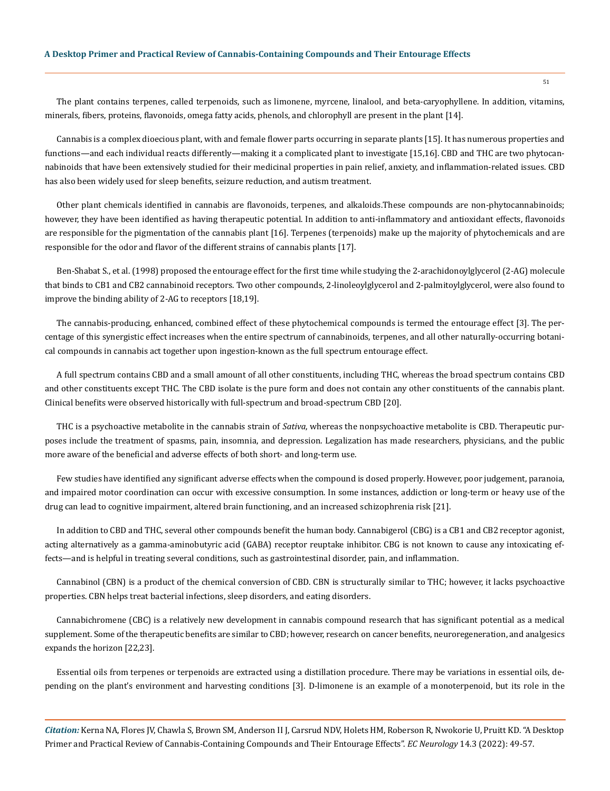The plant contains terpenes, called terpenoids, such as limonene, myrcene, linalool, and beta-caryophyllene. In addition, vitamins, minerals, fibers, proteins, flavonoids, omega fatty acids, phenols, and chlorophyll are present in the plant [14].

Cannabis is a complex dioecious plant, with and female flower parts occurring in separate plants [15]. It has numerous properties and functions—and each individual reacts differently—making it a complicated plant to investigate [15,16]. CBD and THC are two phytocannabinoids that have been extensively studied for their medicinal properties in pain relief, anxiety, and inflammation-related issues. CBD has also been widely used for sleep benefits, seizure reduction, and autism treatment.

Other plant chemicals identified in cannabis are flavonoids, terpenes, and alkaloids.These compounds are non-phytocannabinoids; however, they have been identified as having therapeutic potential. In addition to anti-inflammatory and antioxidant effects, flavonoids are responsible for the pigmentation of the cannabis plant [16]. Terpenes (terpenoids) make up the majority of phytochemicals and are responsible for the odor and flavor of the different strains of cannabis plants [17].

Ben-Shabat S., et al. (1998) proposed the entourage effect for the first time while studying the 2-arachidonoylglycerol (2-AG) molecule that binds to CB1 and CB2 cannabinoid receptors. Two other compounds, 2-linoleoylglycerol and 2-palmitoylglycerol, were also found to improve the binding ability of 2-AG to receptors [18,19].

The cannabis-producing, enhanced, combined effect of these phytochemical compounds is termed the entourage effect [3]. The percentage of this synergistic effect increases when the entire spectrum of cannabinoids, terpenes, and all other naturally-occurring botanical compounds in cannabis act together upon ingestion-known as the full spectrum entourage effect.

A full spectrum contains CBD and a small amount of all other constituents, including THC, whereas the broad spectrum contains CBD and other constituents except THC. The CBD isolate is the pure form and does not contain any other constituents of the cannabis plant. Clinical benefits were observed historically with full-spectrum and broad-spectrum CBD [20].

THC is a psychoactive metabolite in the cannabis strain of *Sativa*, whereas the nonpsychoactive metabolite is CBD. Therapeutic purposes include the treatment of spasms, pain, insomnia, and depression. Legalization has made researchers, physicians, and the public more aware of the beneficial and adverse effects of both short- and long-term use.

Few studies have identified any significant adverse effects when the compound is dosed properly. However, poor judgement, paranoia, and impaired motor coordination can occur with excessive consumption. In some instances, addiction or long-term or heavy use of the drug can lead to cognitive impairment, altered brain functioning, and an increased schizophrenia risk [21].

In addition to CBD and THC, several other compounds benefit the human body. Cannabigerol (CBG) is a CB1 and CB2 receptor agonist, acting alternatively as a gamma-aminobutyric acid (GABA) receptor reuptake inhibitor. CBG is not known to cause any intoxicating effects—and is helpful in treating several conditions, such as gastrointestinal disorder, pain, and inflammation.

Cannabinol (CBN) is a product of the chemical conversion of CBD. CBN is structurally similar to THC; however, it lacks psychoactive properties. CBN helps treat bacterial infections, sleep disorders, and eating disorders.

Cannabichromene (CBC) is a relatively new development in cannabis compound research that has significant potential as a medical supplement. Some of the therapeutic benefits are similar to CBD; however, research on cancer benefits, neuroregeneration, and analgesics expands the horizon [22,23].

Essential oils from terpenes or terpenoids are extracted using a distillation procedure. There may be variations in essential oils, depending on the plant's environment and harvesting conditions [3]. D-limonene is an example of a monoterpenoid, but its role in the

*Citation:* Kerna NA, Flores JV, Chawla S, Brown SM, Anderson II J, Carsrud NDV, Holets HM, Roberson R, Nwokorie U, Pruitt KD. "A Desktop Primer and Practical Review of Cannabis-Containing Compounds and Their Entourage Effects". *EC Neurology* 14.3 (2022): 49-57.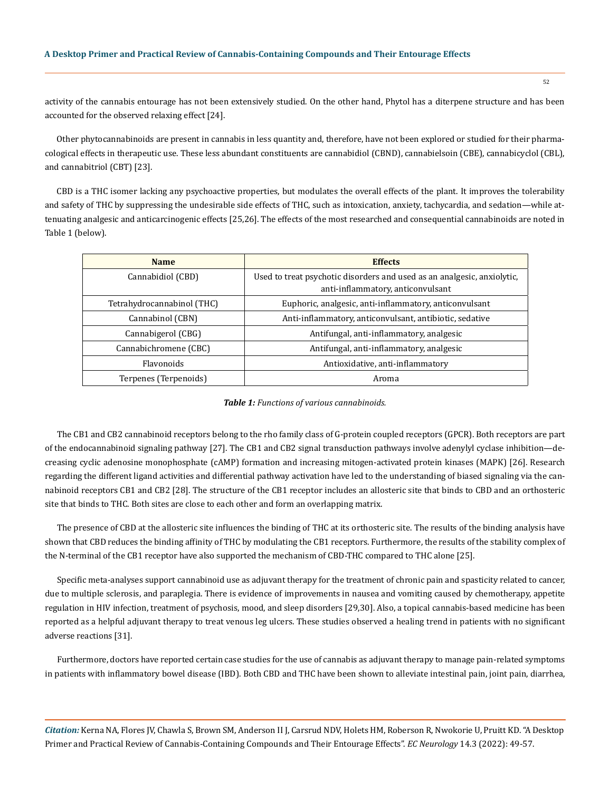activity of the cannabis entourage has not been extensively studied. On the other hand, Phytol has a diterpene structure and has been accounted for the observed relaxing effect [24].

Other phytocannabinoids are present in cannabis in less quantity and, therefore, have not been explored or studied for their pharmacological effects in therapeutic use. These less abundant constituents are cannabidiol (CBND), cannabielsoin (CBE), cannabicyclol (CBL), and cannabitriol (CBT) [23].

CBD is a THC isomer lacking any psychoactive properties, but modulates the overall effects of the plant. It improves the tolerability and safety of THC by suppressing the undesirable side effects of THC, such as intoxication, anxiety, tachycardia, and sedation—while attenuating analgesic and anticarcinogenic effects [25,26]. The effects of the most researched and consequential cannabinoids are noted in Table 1 (below).

| <b>Name</b>                | <b>Effects</b>                                                                                               |
|----------------------------|--------------------------------------------------------------------------------------------------------------|
| Cannabidiol (CBD)          | Used to treat psychotic disorders and used as an analgesic, anxiolytic,<br>anti-inflammatory, anticonvulsant |
| Tetrahydrocannabinol (THC) | Euphoric, analgesic, anti-inflammatory, anticonvulsant                                                       |
| Cannabinol (CBN)           | Anti-inflammatory, anticonvulsant, antibiotic, sedative                                                      |
| Cannabigerol (CBG)         | Antifungal, anti-inflammatory, analgesic                                                                     |
| Cannabichromene (CBC)      | Antifungal, anti-inflammatory, analgesic                                                                     |
| <b>Flavonoids</b>          | Antioxidative, anti-inflammatory                                                                             |
| Terpenes (Terpenoids)      | Aroma                                                                                                        |

*Table 1: Functions of various cannabinoids.*

The CB1 and CB2 cannabinoid receptors belong to the rho family class of G-protein coupled receptors (GPCR). Both receptors are part of the endocannabinoid signaling pathway [27]. The CB1 and CB2 signal transduction pathways involve adenylyl cyclase inhibition—decreasing cyclic adenosine monophosphate (cAMP) formation and increasing mitogen-activated protein kinases (MAPK) [26]. Research regarding the different ligand activities and differential pathway activation have led to the understanding of biased signaling via the cannabinoid receptors CB1 and CB2 [28]. The structure of the CB1 receptor includes an allosteric site that binds to CBD and an orthosteric site that binds to THC. Both sites are close to each other and form an overlapping matrix.

The presence of CBD at the allosteric site influences the binding of THC at its orthosteric site. The results of the binding analysis have shown that CBD reduces the binding affinity of THC by modulating the CB1 receptors. Furthermore, the results of the stability complex of the N-terminal of the CB1 receptor have also supported the mechanism of CBD-THC compared to THC alone [25].

Specific meta-analyses support cannabinoid use as adjuvant therapy for the treatment of chronic pain and spasticity related to cancer, due to multiple sclerosis, and paraplegia. There is evidence of improvements in nausea and vomiting caused by chemotherapy, appetite regulation in HIV infection, treatment of psychosis, mood, and sleep disorders [29,30]. Also, a topical cannabis-based medicine has been reported as a helpful adjuvant therapy to treat venous leg ulcers. These studies observed a healing trend in patients with no significant adverse reactions [31].

Furthermore, doctors have reported certain case studies for the use of cannabis as adjuvant therapy to manage pain-related symptoms in patients with inflammatory bowel disease (IBD). Both CBD and THC have been shown to alleviate intestinal pain, joint pain, diarrhea,

*Citation:* Kerna NA, Flores JV, Chawla S, Brown SM, Anderson II J, Carsrud NDV, Holets HM, Roberson R, Nwokorie U, Pruitt KD. "A Desktop Primer and Practical Review of Cannabis-Containing Compounds and Their Entourage Effects". *EC Neurology* 14.3 (2022): 49-57.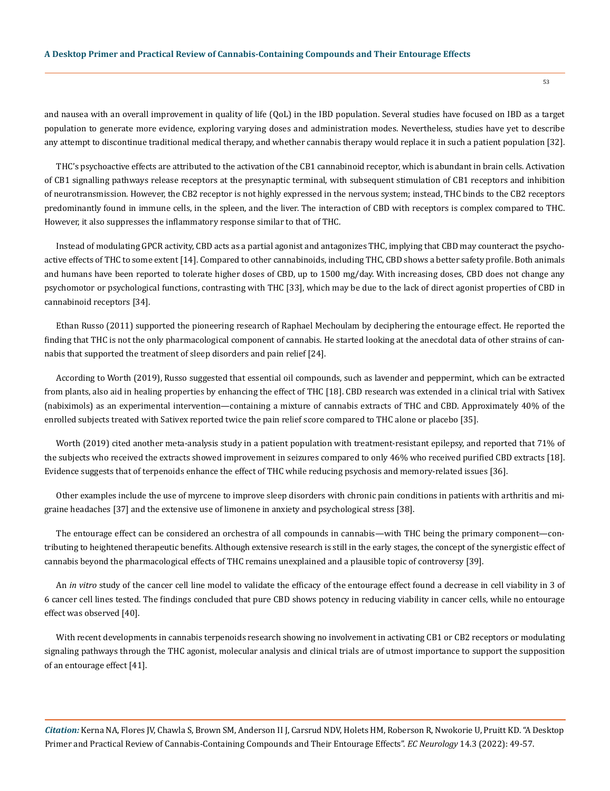and nausea with an overall improvement in quality of life (QoL) in the IBD population. Several studies have focused on IBD as a target population to generate more evidence, exploring varying doses and administration modes. Nevertheless, studies have yet to describe any attempt to discontinue traditional medical therapy, and whether cannabis therapy would replace it in such a patient population [32].

THC's psychoactive effects are attributed to the activation of the CB1 cannabinoid receptor, which is abundant in brain cells. Activation of CB1 signalling pathways release receptors at the presynaptic terminal, with subsequent stimulation of CB1 receptors and inhibition of neurotransmission. However, the CB2 receptor is not highly expressed in the nervous system; instead, THC binds to the CB2 receptors predominantly found in immune cells, in the spleen, and the liver. The interaction of CBD with receptors is complex compared to THC. However, it also suppresses the inflammatory response similar to that of THC.

Instead of modulating GPCR activity, CBD acts as a partial agonist and antagonizes THC, implying that CBD may counteract the psychoactive effects of THC to some extent [14]. Compared to other cannabinoids, including THC, CBD shows a better safety profile. Both animals and humans have been reported to tolerate higher doses of CBD, up to 1500 mg/day. With increasing doses, CBD does not change any psychomotor or psychological functions, contrasting with THC [33], which may be due to the lack of direct agonist properties of CBD in cannabinoid receptors [34].

Ethan Russo (2011) supported the pioneering research of Raphael Mechoulam by deciphering the entourage effect. He reported the finding that THC is not the only pharmacological component of cannabis. He started looking at the anecdotal data of other strains of cannabis that supported the treatment of sleep disorders and pain relief [24].

According to Worth (2019), Russo suggested that essential oil compounds, such as lavender and peppermint, which can be extracted from plants, also aid in healing properties by enhancing the effect of THC [18]. CBD research was extended in a clinical trial with Sativex (nabiximols) as an experimental intervention—containing a mixture of cannabis extracts of THC and CBD. Approximately 40% of the enrolled subjects treated with Sativex reported twice the pain relief score compared to THC alone or placebo [35].

Worth (2019) cited another meta-analysis study in a patient population with treatment-resistant epilepsy, and reported that 71% of the subjects who received the extracts showed improvement in seizures compared to only 46% who received purified CBD extracts [18]. Evidence suggests that of terpenoids enhance the effect of THC while reducing psychosis and memory-related issues [36].

Other examples include the use of myrcene to improve sleep disorders with chronic pain conditions in patients with arthritis and migraine headaches [37] and the extensive use of limonene in anxiety and psychological stress [38].

The entourage effect can be considered an orchestra of all compounds in cannabis—with THC being the primary component—contributing to heightened therapeutic benefits. Although extensive research is still in the early stages, the concept of the synergistic effect of cannabis beyond the pharmacological effects of THC remains unexplained and a plausible topic of controversy [39].

An *in vitro* study of the cancer cell line model to validate the efficacy of the entourage effect found a decrease in cell viability in 3 of 6 cancer cell lines tested. The findings concluded that pure CBD shows potency in reducing viability in cancer cells, while no entourage effect was observed [40].

With recent developments in cannabis terpenoids research showing no involvement in activating CB1 or CB2 receptors or modulating signaling pathways through the THC agonist, molecular analysis and clinical trials are of utmost importance to support the supposition of an entourage effect [41].

*Citation:* Kerna NA, Flores JV, Chawla S, Brown SM, Anderson II J, Carsrud NDV, Holets HM, Roberson R, Nwokorie U, Pruitt KD. "A Desktop Primer and Practical Review of Cannabis-Containing Compounds and Their Entourage Effects". *EC Neurology* 14.3 (2022): 49-57.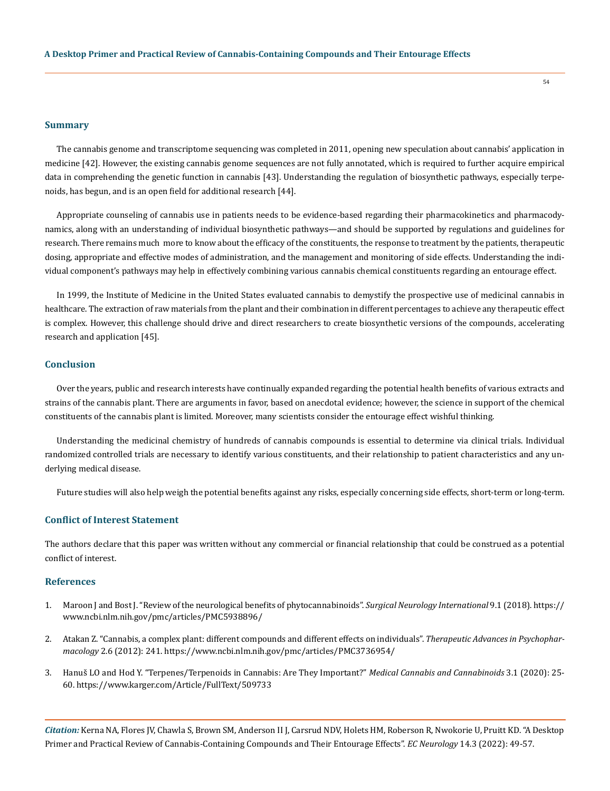#### **Summary**

The cannabis genome and transcriptome sequencing was completed in 2011, opening new speculation about cannabis' application in medicine [42]. However, the existing cannabis genome sequences are not fully annotated, which is required to further acquire empirical data in comprehending the genetic function in cannabis [43]. Understanding the regulation of biosynthetic pathways, especially terpenoids, has begun, and is an open field for additional research [44].

Appropriate counseling of cannabis use in patients needs to be evidence-based regarding their pharmacokinetics and pharmacodynamics, along with an understanding of individual biosynthetic pathways—and should be supported by regulations and guidelines for research. There remains much more to know about the efficacy of the constituents, the response to treatment by the patients, therapeutic dosing, appropriate and effective modes of administration, and the management and monitoring of side effects. Understanding the individual component's pathways may help in effectively combining various cannabis chemical constituents regarding an entourage effect.

In 1999, the Institute of Medicine in the United States evaluated cannabis to demystify the prospective use of medicinal cannabis in healthcare. The extraction of raw materials from the plant and their combination in different percentages to achieve any therapeutic effect is complex. However, this challenge should drive and direct researchers to create biosynthetic versions of the compounds, accelerating research and application [45].

### **Conclusion**

Over the years, public and research interests have continually expanded regarding the potential health benefits of various extracts and strains of the cannabis plant. There are arguments in favor, based on anecdotal evidence; however, the science in support of the chemical constituents of the cannabis plant is limited. Moreover, many scientists consider the entourage effect wishful thinking.

Understanding the medicinal chemistry of hundreds of cannabis compounds is essential to determine via clinical trials. Individual randomized controlled trials are necessary to identify various constituents, and their relationship to patient characteristics and any underlying medical disease.

Future studies will also help weigh the potential benefits against any risks, especially concerning side effects, short-term or long-term.

### **Conflict of Interest Statement**

The authors declare that this paper was written without any commercial or financial relationship that could be construed as a potential conflict of interest.

#### **References**

- 1. [Maroon J and Bost J. "Review of the neurological benefits of phytocannabinoids".](https://www.ncbi.nlm.nih.gov/pmc/articles/PMC5938896/) *Surgical Neurology International* 9.1 (2018). https:// www.ncbi.nlm.nih.gov/pmc/articles/PMC5938896/
- 2. [Atakan Z. "Cannabis, a complex plant: different compounds and different effects on individuals".](https://www.ncbi.nlm.nih.gov/pmc/articles/PMC3736954/) *Therapeutic Advances in Psychopharmacology* [2.6 \(2012\): 241.](https://www.ncbi.nlm.nih.gov/pmc/articles/PMC3736954/) https://www.ncbi.nlm.nih.gov/pmc/articles/PMC3736954/
- 3. [Hanuš LO and Hod Y. "Terpenes/Terpenoids in Cannabis: Are They Important?"](https://www.karger.com/Article/FullText/509733) *Medical Cannabis and Cannabinoids* 3.1 (2020): 25- [60.](https://www.karger.com/Article/FullText/509733) https://www.karger.com/Article/FullText/509733

*Citation:* Kerna NA, Flores JV, Chawla S, Brown SM, Anderson II J, Carsrud NDV, Holets HM, Roberson R, Nwokorie U, Pruitt KD. "A Desktop Primer and Practical Review of Cannabis-Containing Compounds and Their Entourage Effects". *EC Neurology* 14.3 (2022): 49-57.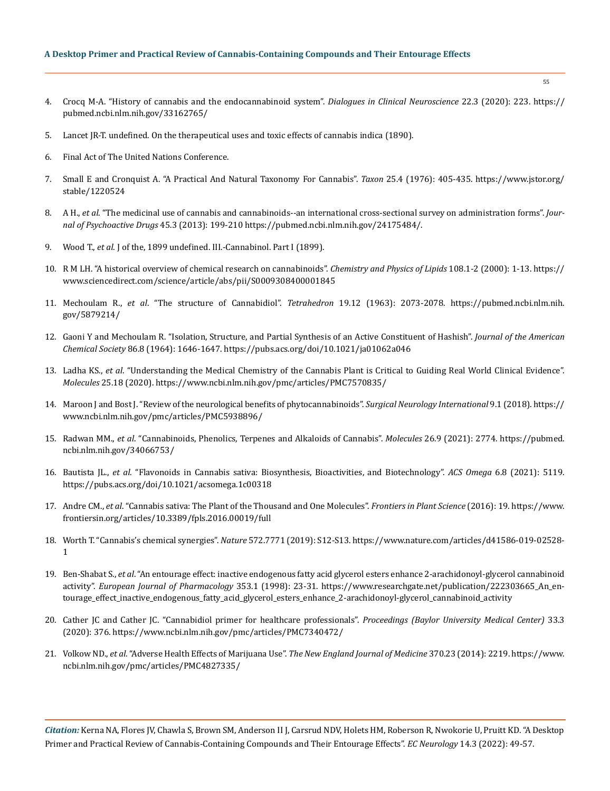### **A Desktop Primer and Practical Review of Cannabis-Containing Compounds and Their Entourage Effects**

- 4. [Crocq M-A. "History of cannabis and the endocannabinoid system".](https://pubmed.ncbi.nlm.nih.gov/33162765/) *Dialogues in Clinical Neuroscience* 22.3 (2020): 223. https:// pubmed.ncbi.nlm.nih.gov/33162765/
- 5. Lancet JR-T. undefined. On the therapeutical uses and toxic effects of cannabis indica (1890).
- 6. Final Act of The United Nations Conference.
- 7. [Small E and Cronquist A. "A Practical And Natural Taxonomy For Cannabis".](https://www.jstor.org/stable/1220524) *Taxon* 25.4 (1976): 405-435. https://www.jstor.org/ stable/1220524
- 8. A H., *et al*[. "The medicinal use of cannabis and cannabinoids--an international cross-sectional survey on administration forms".](https://pubmed.ncbi.nlm.nih.gov/24175484/) *Jour[nal of Psychoactive Drugs](https://pubmed.ncbi.nlm.nih.gov/24175484/)* 45.3 (2013): 199-210 https://pubmed.ncbi.nlm.nih.gov/24175484/.
- 9. Wood T., *et al*. J of the, 1899 undefined. III.-Cannabinol. Part I (1899).
- 10. [R M LH. "A historical overview of chemical research on cannabinoids".](https://www.sciencedirect.com/science/article/abs/pii/S0009308400001845) *Chemistry and Physics of Lipids* 108.1-2 (2000): 1-13. https:// www.sciencedirect.com/science/article/abs/pii/S0009308400001845
- 11. Mechoulam R., *et al*[. "The structure of Cannabidiol".](https://pubmed.ncbi.nlm.nih.gov/5879214/) *Tetrahedron* 19.12 (1963): 2073-2078. https://pubmed.ncbi.nlm.nih. gov/5879214/
- 12. [Gaoni Y and Mechoulam R. "Isolation, Structure, and Partial Synthesis of an Active Constituent of Hashish".](https://pubs.acs.org/doi/10.1021/ja01062a046) *Journal of the American Chemical Society* [86.8 \(1964\): 1646-1647.](https://pubs.acs.org/doi/10.1021/ja01062a046) https://pubs.acs.org/doi/10.1021/ja01062a046
- 13. Ladha KS., *et al*[. "Understanding the Medical Chemistry of the Cannabis Plant is Critical to Guiding Real World Clinical Evidence".](https://pubmed.ncbi.nlm.nih.gov/32899678/)  *Molecules* [25.18 \(2020\).](https://pubmed.ncbi.nlm.nih.gov/32899678/) https://www.ncbi.nlm.nih.gov/pmc/articles/PMC7570835/
- 14. [Maroon J and Bost J. "Review of the neurological benefits of phytocannabinoids".](https://www.ncbi.nlm.nih.gov/pmc/articles/PMC5938896/) *Surgical Neurology International* 9.1 (2018). https:// www.ncbi.nlm.nih.gov/pmc/articles/PMC5938896/
- 15. Radwan MM., *et al*[. "Cannabinoids, Phenolics, Terpenes and Alkaloids of Cannabis".](https://pubmed.ncbi.nlm.nih.gov/34066753/) *Molecules* 26.9 (2021): 2774. https://pubmed. ncbi.nlm.nih.gov/34066753/
- 16. Bautista JL., *et al*[. "Flavonoids in Cannabis sativa: Biosynthesis, Bioactivities, and Biotechnology".](https://pubs.acs.org/doi/10.1021/acsomega.1c00318) *ACS Omega* 6.8 (2021): 5119. https://pubs.acs.org/doi/10.1021/acsomega.1c00318
- 17. Andre CM., *et al*[. "Cannabis sativa: The Plant of the Thousand and One Molecules".](https://www.frontiersin.org/articles/10.3389/fpls.2016.00019/full) *Frontiers in Plant Science* (2016): 19. https://www. frontiersin.org/articles/10.3389/fpls.2016.00019/full
- 18. [Worth T. "Cannabis's chemical synergies".](https://www.nature.com/articles/d41586-019-02528-1) *Nature* 572.7771 (2019): S12-S13. https://www.nature.com/articles/d41586-019-02528- 1
- 19. Ben-Shabat S., *et al*[. "An entourage effect: inactive endogenous fatty acid glycerol esters enhance 2-arachidonoyl-glycerol cannabinoid](https://www.researchgate.net/publication/222303665_An_entourage_effect_inactive_endogenous_fatty_acid_glycerol_esters_enhance_2-arachidonoyl-glycerol_cannabinoid_activity)  activity". *[European Journal of Pharmacology](https://www.researchgate.net/publication/222303665_An_entourage_effect_inactive_endogenous_fatty_acid_glycerol_esters_enhance_2-arachidonoyl-glycerol_cannabinoid_activity)* 353.1 (1998): 23-31. https://www.researchgate.net/publication/222303665\_An\_entourage\_effect\_inactive\_endogenous\_fatty\_acid\_glycerol\_esters\_enhance\_2-arachidonoyl-glycerol\_cannabinoid\_activity
- 20. [Cather JC and Cather JC. "Cannabidiol primer for healthcare professionals".](https://www.ncbi.nlm.nih.gov/pmc/articles/PMC7340472/) *Proceedings (Baylor University Medical Center)* 33.3 [\(2020\): 376.](https://www.ncbi.nlm.nih.gov/pmc/articles/PMC7340472/) https://www.ncbi.nlm.nih.gov/pmc/articles/PMC7340472/
- 21. Volkow ND., *et al*. "Adverse Health Effects of Marijuana Use". *[The New England Journal of Medicine](https://www.ncbi.nlm.nih.gov/pmc/articles/PMC4827335/)* 370.23 (2014): 2219. https://www. ncbi.nlm.nih.gov/pmc/articles/PMC4827335/

*Citation:* Kerna NA, Flores JV, Chawla S, Brown SM, Anderson II J, Carsrud NDV, Holets HM, Roberson R, Nwokorie U, Pruitt KD. "A Desktop Primer and Practical Review of Cannabis-Containing Compounds and Their Entourage Effects". *EC Neurology* 14.3 (2022): 49-57.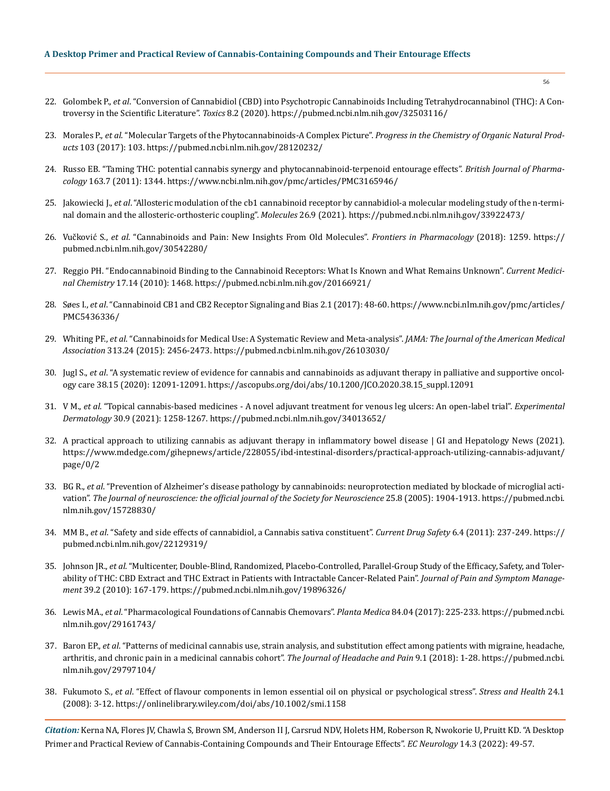#### **A Desktop Primer and Practical Review of Cannabis-Containing Compounds and Their Entourage Effects**

- 22. Golombek P., *et al*[. "Conversion of Cannabidiol \(CBD\) into Psychotropic Cannabinoids Including Tetrahydrocannabinol \(THC\): A Con](https://pubmed.ncbi.nlm.nih.gov/32503116/)[troversy in the Scientific Literature".](https://pubmed.ncbi.nlm.nih.gov/32503116/) *Toxics* 8.2 (2020). https://pubmed.ncbi.nlm.nih.gov/32503116/
- 23. Morales P., *et al*[. "Molecular Targets of the Phytocannabinoids-A Complex Picture".](https://pubmed.ncbi.nlm.nih.gov/28120232/) *Progress in the Chemistry of Organic Natural Products* [103 \(2017\): 103.](https://pubmed.ncbi.nlm.nih.gov/28120232/) https://pubmed.ncbi.nlm.nih.gov/28120232/
- 24. [Russo EB. "Taming THC: potential cannabis synergy and phytocannabinoid-terpenoid entourage effects".](https://www.ncbi.nlm.nih.gov/pmc/articles/PMC3165946/) *British Journal of Pharmacology* [163.7 \(2011\): 1344.](https://www.ncbi.nlm.nih.gov/pmc/articles/PMC3165946/) https://www.ncbi.nlm.nih.gov/pmc/articles/PMC3165946/
- 25. Jakowiecki J., *et al*[. "Allosteric modulation of the cb1 cannabinoid receptor by cannabidiol-a molecular modeling study of the n-termi](https://pubmed.ncbi.nlm.nih.gov/33922473/)[nal domain and the allosteric-orthosteric coupling".](https://pubmed.ncbi.nlm.nih.gov/33922473/) *Molecules* 26.9 (2021). https://pubmed.ncbi.nlm.nih.gov/33922473/
- 26. Vučković S., *et al*[. "Cannabinoids and Pain: New Insights From Old Molecules".](https://pubmed.ncbi.nlm.nih.gov/30542280/) *Frontiers in Pharmacology* (2018): 1259. https:// pubmed.ncbi.nlm.nih.gov/30542280/
- 27. [Reggio PH. "Endocannabinoid Binding to the Cannabinoid Receptors: What Is Known and What Remains Unknown".](https://www.ncbi.nlm.nih.gov/pmc/articles/PMC4120766/) *Current Medicinal Chemistry* [17.14 \(2010\): 1468.](https://www.ncbi.nlm.nih.gov/pmc/articles/PMC4120766/) https://pubmed.ncbi.nlm.nih.gov/20166921/
- 28. Søes I., *et al*[. "Cannabinoid CB1 and CB2 Receptor Signaling and Bias 2.1 \(2017\): 48-60.](https://www.ncbi.nlm.nih.gov/pmc/articles/PMC5436336/) https://www.ncbi.nlm.nih.gov/pmc/articles/ PMC5436336/
- 29. Whiting PF., *et al*[. "Cannabinoids for Medical Use: A Systematic Review and Meta-analysis".](https://pubmed.ncbi.nlm.nih.gov/26103030/) *JAMA: The Journal of the American Medical Association* [313.24 \(2015\): 2456-2473.](https://pubmed.ncbi.nlm.nih.gov/26103030/) https://pubmed.ncbi.nlm.nih.gov/26103030/
- 30. Jugl S., *et al*[. "A systematic review of evidence for cannabis and cannabinoids as adjuvant therapy in palliative and supportive oncol](https://ascopubs.org/doi/abs/10.1200/JCO.2020.38.15_suppl.12091)[ogy care 38.15 \(2020\): 12091-12091.](https://ascopubs.org/doi/abs/10.1200/JCO.2020.38.15_suppl.12091) https://ascopubs.org/doi/abs/10.1200/JCO.2020.38.15\_suppl.12091
- 31. V M., *et al*[. "Topical cannabis-based medicines A novel adjuvant treatment for venous leg ulcers: An open-label trial".](https://pubmed.ncbi.nlm.nih.gov/34013652/) *Experimental Dermatology* [30.9 \(2021\): 1258-1267.](https://pubmed.ncbi.nlm.nih.gov/34013652/) https://pubmed.ncbi.nlm.nih.gov/34013652/
- 32. [A practical approach to utilizing cannabis as adjuvant therapy in inflammatory bowel disease | GI and Hepatology News \(2021\).](https://www.mdedge.com/gihepnews/article/228055/ibd-intestinal-disorders/practical-approach-utilizing-cannabis-adjuvant) https://www.mdedge.com/gihepnews/article/228055/ibd-intestinal-disorders/practical-approach-utilizing-cannabis-adjuvant/ page/0/2
- 33. BG R., *et al*[. "Prevention of Alzheimer's disease pathology by cannabinoids: neuroprotection mediated by blockade of microglial acti](https://pubmed.ncbi.nlm.nih.gov/15728830/)vation". *[The Journal of neuroscience: the official journal of the Society for Neuroscience](https://pubmed.ncbi.nlm.nih.gov/15728830/)* 25.8 (2005): 1904-1913. https://pubmed.ncbi. nlm.nih.gov/15728830/
- 34. MM B., *et al*[. "Safety and side effects of cannabidiol, a Cannabis sativa constituent".](https://pubmed.ncbi.nlm.nih.gov/22129319/) *Current Drug Safety* 6.4 (2011): 237-249. https:// pubmed.ncbi.nlm.nih.gov/22129319/
- 35. Johnson JR., *et al*[. "Multicenter, Double-Blind, Randomized, Placebo-Controlled, Parallel-Group Study of the Efficacy, Safety, and Toler](https://pubmed.ncbi.nlm.nih.gov/19896326/)[ability of THC: CBD Extract and THC Extract in Patients with Intractable Cancer-Related Pain".](https://pubmed.ncbi.nlm.nih.gov/19896326/) *Journal of Pain and Symptom Management* [39.2 \(2010\): 167-179.](https://pubmed.ncbi.nlm.nih.gov/19896326/) https://pubmed.ncbi.nlm.nih.gov/19896326/
- 36. Lewis MA., *et al*[. "Pharmacological Foundations of Cannabis Chemovars".](https://pubmed.ncbi.nlm.nih.gov/29161743/) *Planta Medica* 84.04 (2017): 225-233. https://pubmed.ncbi. nlm.nih.gov/29161743/
- 37. Baron EP., *et al*[. "Patterns of medicinal cannabis use, strain analysis, and substitution effect among patients with migraine, headache,](https://pubmed.ncbi.nlm.nih.gov/29797104/)  [arthritis, and chronic pain in a medicinal cannabis cohort".](https://pubmed.ncbi.nlm.nih.gov/29797104/) *The Journal of Headache and Pain* 9.1 (2018): 1-28. https://pubmed.ncbi. nlm.nih.gov/29797104/
- 38. Fukumoto S., *et al*[. "Effect of flavour components in lemon essential oil on physical or psychological stress".](https://onlinelibrary.wiley.com/doi/abs/10.1002/smi.1158) *Stress and Health* 24.1 [\(2008\): 3-12.](https://onlinelibrary.wiley.com/doi/abs/10.1002/smi.1158) https://onlinelibrary.wiley.com/doi/abs/10.1002/smi.1158

*Citation:* Kerna NA, Flores JV, Chawla S, Brown SM, Anderson II J, Carsrud NDV, Holets HM, Roberson R, Nwokorie U, Pruitt KD. "A Desktop Primer and Practical Review of Cannabis-Containing Compounds and Their Entourage Effects". *EC Neurology* 14.3 (2022): 49-57.